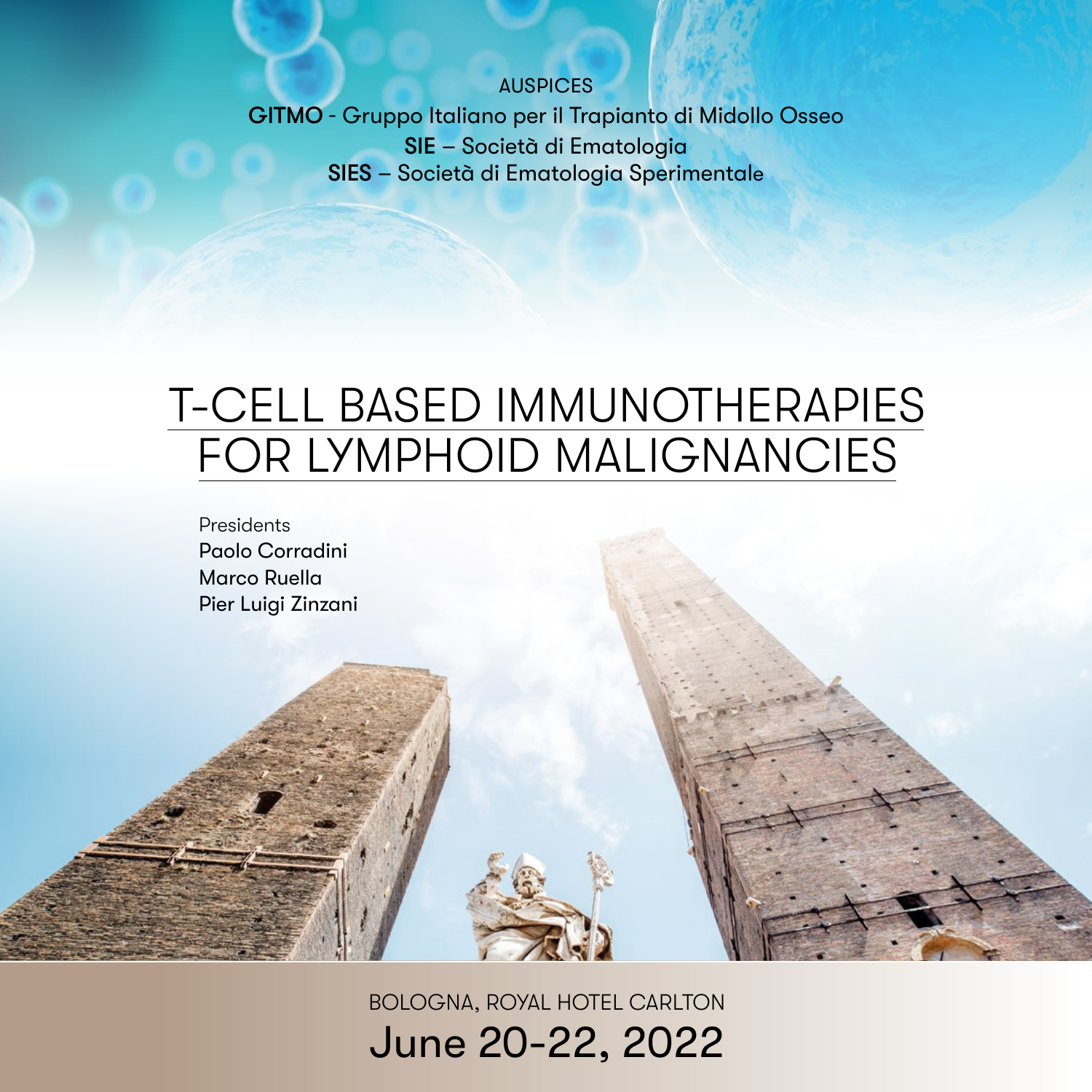### AUSPICES

GITMO - Gruppo Italiano per il Trapianto di Midollo Osseo SIE – Società di Ematologia SIES – Società di Ematologia Sperimentale

# T-CELL BASED IMMUNOTHERAPIES FOR LYMPHOID MALIGNANCIES

Presidents Paolo Corradini Marco Ruella Pier Luigi Zinzani

> BOLOGNA, ROYAL HOTEL CARLTON June 20-22, 2022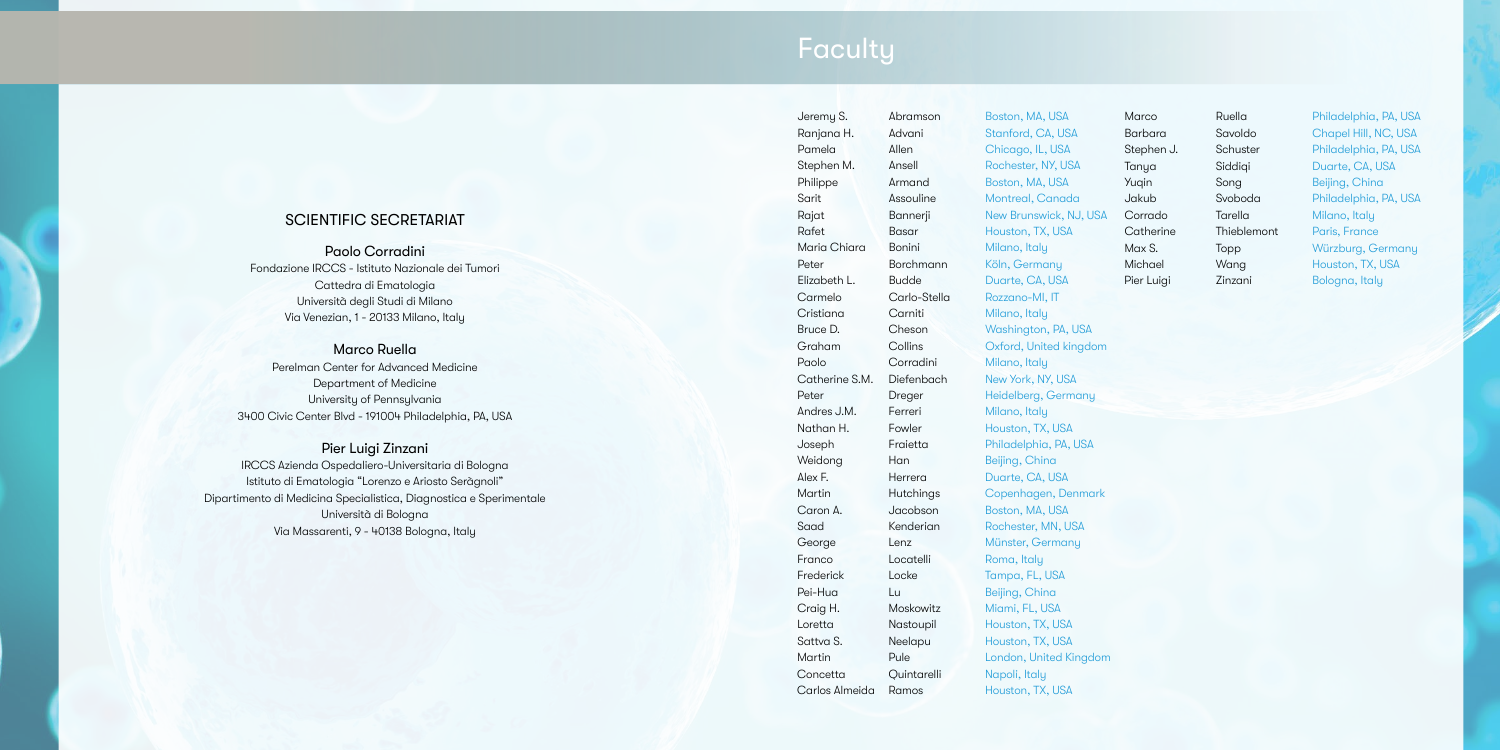# **Faculty**

# Ranjana H. Advani Stanford, CA, USA Pamela Allen Chicago, IL, USA Stephen M. Ansell Rochester, NY, USA Philippe Armand Boston, MA, USA Sarit Assouline Montreal, Canada Rafet Basar Houston, TX, USA Maria Chiara Bonini Milano, Italy Peter Borchmann Köln, Germany Elizabeth L. Budde Duarte, CA, USA Carmelo Carlo-Stella Rozzano-MI, IT Cristiana Carniti Milano, Italy Bruce D. Cheson Washington, PA, USA Paolo Corradini Milano, Italy Catherine S.M. Diefenbach New York, NY, USA Peter Dreger Heidelberg, Germany Andres J.M. Ferreri Milano, Italy Nathan H. Fowler Houston, TX, USA Joseph Fraietta Philadelphia, PA, USA Weidong Han Beijing, China Alex F. **Herrera** Duarte, CA, USA Caron A. Jacobson Boston, MA, USA Saad Kenderian Rochester, MN, USA George Lenz Münster, Germany Franco Locatelli Roma, Italy Frederick Locke Tampa, FL, USA Pei-Hua Lu Beijing, China Craig H. Moskowitz Miami, FL, USA Loretta **Nastoupil** Houston, TX, USA Sattva S. Neelapu Houston, TX, USA Concetta Quintarelli Napoli, Italy Carlos Almeida Ramos Houston, TX, USA

Jeremy S. Abramson Boston, MA, USA

Rajat Bannerji New Brunswick, NJ, USA Graham Collins Oxford, United kingdom Martin Hutchings Copenhagen, Denmark Martin Pule London, United Kingdom

Paolo Corradini Fondazione IRCCS - Istituto Nazionale dei Tumori Cattedra di Ematologia Università degli Studi di Milano Via Venezian, 1 - 20133 Milano, Italy

### Marco Ruella

Perelman Center for Advanced Medicine Department of Medicine University of Pennsylvania 3400 Civic Center Blvd - 191004 Philadelphia, PA, USA

### Pier Luigi Zinzani

IRCCS Azienda Ospedaliero-Universitaria di Bologna Istituto di Ematologia "Lorenzo e Ariosto Seràgnoli" Dipartimento di Medicina Specialistica, Diagnostica e Sperimentale Università di Bologna Via Massarenti, 9 - 40138 Bologna, Italy

## SCIENTIFIC SECRETARIAT

Marco Ruella Philadelphia, PA, USA Barbara Savoldo Chapel Hill, NC, USA Stephen J. Schuster Philadelphia, PA, USA Tanya Siddiqi Duarte, CA, USA Yuqin Song Beijing, China Jakub Svoboda Philadelphia, PA, USA Corrado Tarella Milano, Italy Catherine Thieblemont Paris, France Max S. Topp Würzburg, Germany Michael Wang Houston, TX, USA Pier Luigi Zinzani Bologna, Italy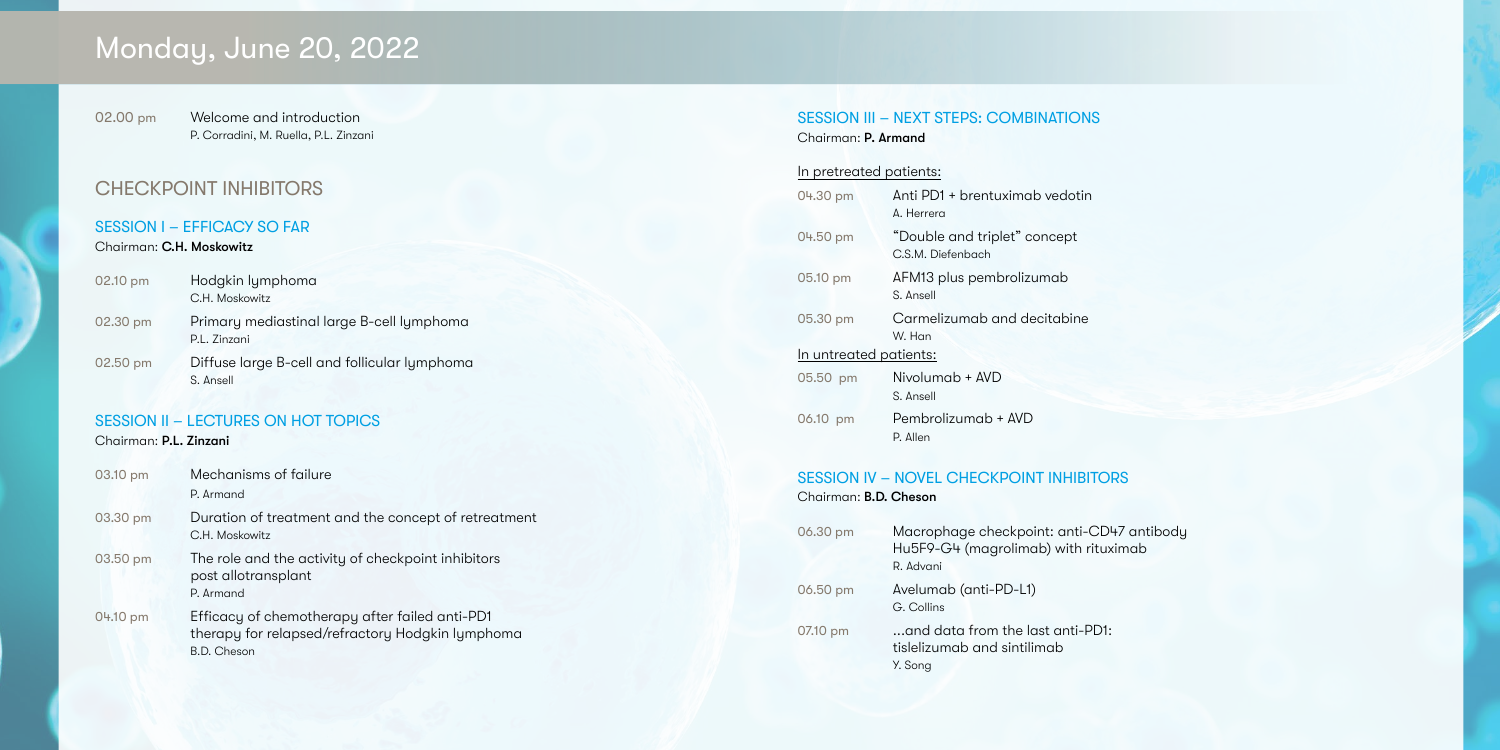# Monday, June 20, 2022

02.00 pm Welcome and introduction P. Corradini, M. Ruella, P.L. Zinzani

# CHECKPOINT INHIBITORS

## SESSION I – EFFICACY SO FAR

## Chairman: C.H. Moskowitz

| 02.10 pm | Hodgkin lymphoma<br>C.H. Moskowitz                        |
|----------|-----------------------------------------------------------|
| 02.30 pm | Primary mediastinal large B-cell lymphoma<br>P.L. Zinzani |
| 02.50 pm | Diffuse large B-cell and follicular lymphoma<br>S. Ansell |

# SESSION II – LECTURES ON HOT TOPICS

## Chairman: P.L. Zinzani

| 03.10 pm | Mechanisms of failure<br>P. Armand                                                                                       |
|----------|--------------------------------------------------------------------------------------------------------------------------|
| 03.30 pm | Duration of treatment and the concept of retreatment<br>C.H. Moskowitz                                                   |
| 03.50 pm | The role and the activity of checkpoint inhibitors<br>post allotransplant<br>P. Armand                                   |
| 04.10 pm | Efficacy of chemotherapy after failed anti-PD1<br>therapy for relapsed/refractory Hodgkin lymphoma<br><b>B.D.</b> Cheson |

## SESSION III – NEXT STEPS: COMBINATIONS Chairman: P. Armand

# In pretreated patients:

|                        | 04.30 pm | Anti PD1 + brentuximab vedotin<br>A. Herrera      |
|------------------------|----------|---------------------------------------------------|
|                        | 04.50 pm | "Double and triplet" concept<br>C.S.M. Diefenbach |
|                        | 05.10 pm | AFM13 plus pembrolizumab<br>S. Ansell             |
|                        | 05.30 pm | Carmelizumab and decitabine<br>W. Han             |
| In untreated patients: |          |                                                   |
|                        | 05.50 pm | Nivolumab + AVD<br>S. Ansell                      |
|                        | 06.10 pm | Pembrolizumab + AVD<br>P. Allen                   |

## SESSION IV – NOVEL CHECKPOINT INHIBITORS

Chairman: B.D. Cheson

| 06.30 pm | Macrophage checkpoint: anti-CD47 antibody<br>Hu5F9-G4 (magrolimab) with rituximab<br>R. Advani |
|----------|------------------------------------------------------------------------------------------------|
| 06.50 pm | Avelumab (anti-PD-L1)<br>G. Collins                                                            |
| 07.10 pm | and data from the last anti-PD1:<br>tislelizumab and sintilimab<br>Y. Song                     |

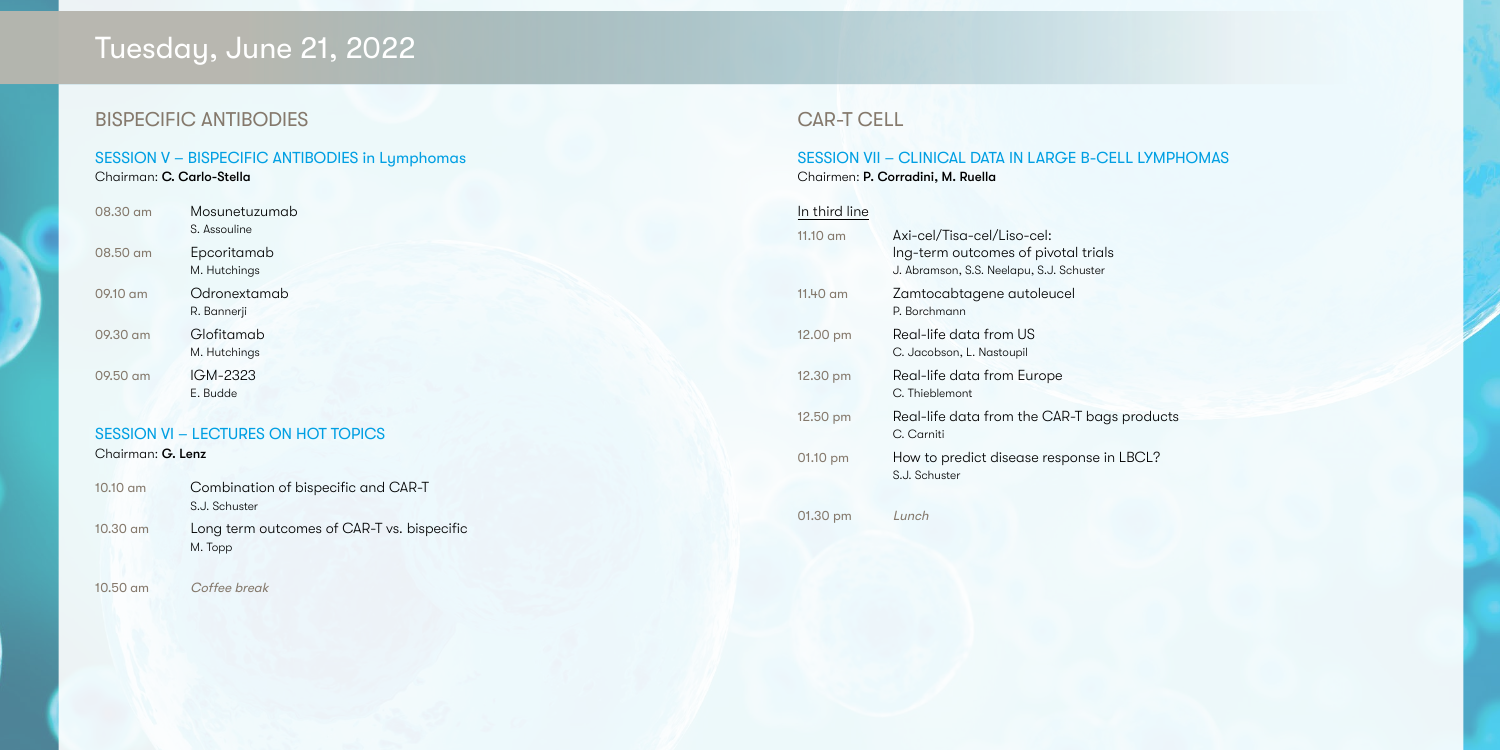# Tuesday, June 21, 2022

# BISPECIFIC ANTIBODIES

# SESSION V – BISPECIFIC ANTIBODIES in Lymphomas

Chairman: C. Carlo-Stella

| $10.10$ am | Combination of bispecific and CAR-T<br>S.J. Schuster  |
|------------|-------------------------------------------------------|
| $10.30$ am | Long term outcomes of CAR-T vs. bispecific<br>M. Topp |

| $08.30 \text{ cm}$ | Mosunetuzumab<br>S. Assouline |
|--------------------|-------------------------------|
| 08.50 am           | Epcoritamab<br>M. Hutchings   |
| 09.10 am           | Odronextamab<br>R. Bannerji   |
| $09.30 \text{ cm}$ | Glofitamab<br>M. Hutchings    |
| $09.50 \text{ cm}$ | IGM-2323<br>E. Budde          |
|                    |                               |

# SESSION VI – LECTURES ON HOT TOPICS

Chairman: G. Lenz

10.50 am Coffee break

# CAR-T CELL

# SESSION VII – CLINICAL DATA IN LARGE B-CELL LYMPHOMAS

Chairmen: P. Corradini, M. Ruella

# In third line

| $11.10 \text{ cm}$ | Axi-cel/Tisa-cel/Liso-cel:<br>Ing-term outcomes of pivotal trials<br>J. Abramson, S.S. Neelapu, S.J. Schuster |
|--------------------|---------------------------------------------------------------------------------------------------------------|
| $11.40$ am         | Zamtocabtagene autoleucel<br>P. Borchmann                                                                     |
| $12.00 \text{ pm}$ | Real-life data from US<br>C. Jacobson, L. Nastoupil                                                           |
| 12.30 pm           | Real-life data from Europe<br>C. Thieblemont                                                                  |
| 12.50 pm           | Real-life data from the CAR-T bags products<br>C. Carniti                                                     |
| 01.10 pm           | How to predict disease response in LBCL?<br>S.J. Schuster                                                     |
|                    |                                                                                                               |

01.30 pm Lunch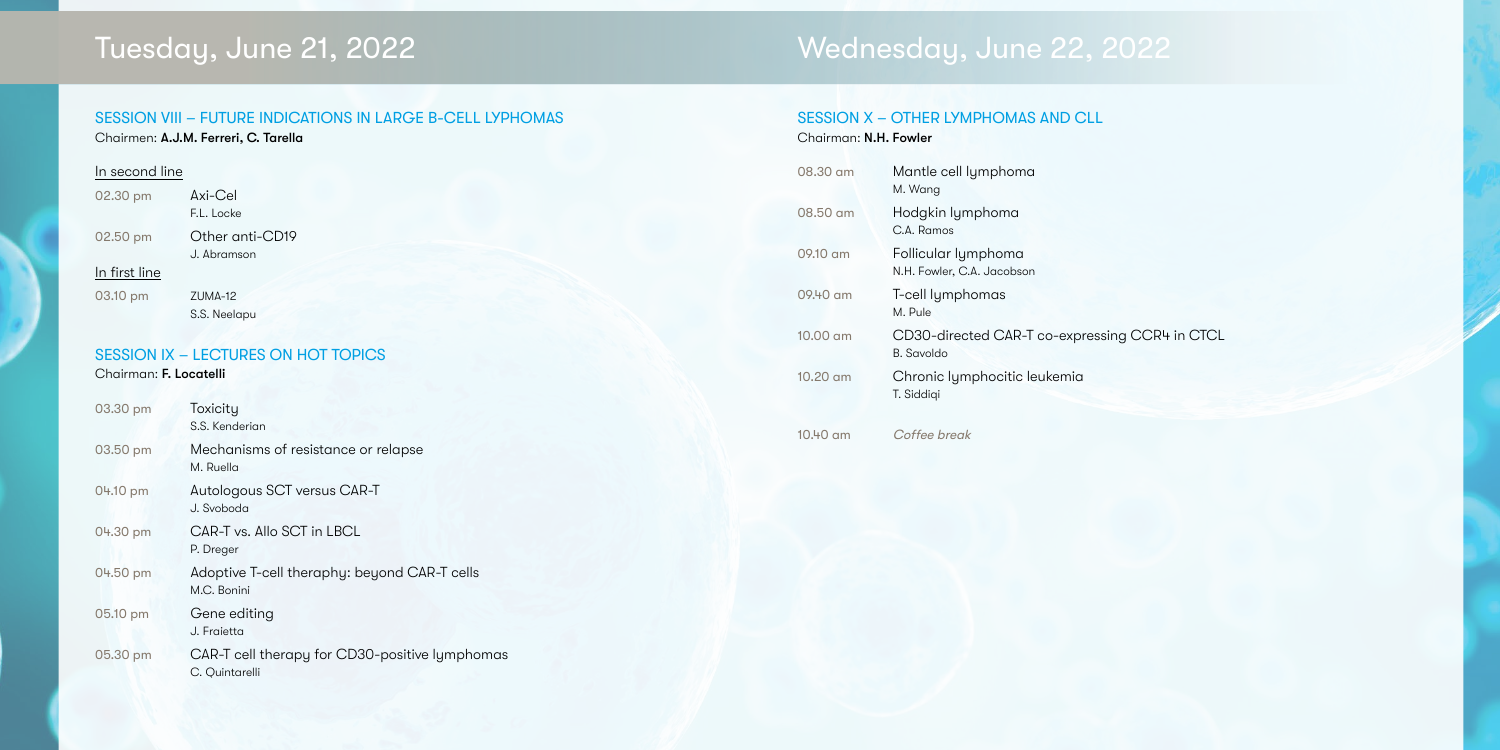# SESSION VIII – FUTURE INDICATIONS IN LARGE B-CELL LYPHOMAS Chairmen: A.J.M. Ferreri, C. Tarella

## In second line

| 02.30 pm | Axi-Cel         |
|----------|-----------------|
|          | F.L. Locke      |
| 02.50 pm | Other anti-CD19 |
|          | J. Abramson     |

### In first line

03.10 pm ZUMA-12 S.S. Neelapu

# SESSION IX – LECTURES ON HOT TOPICS

# Chairman: F. Locatelli

| 03.30 pm | Toxicity<br>S.S. Kenderian                                       |
|----------|------------------------------------------------------------------|
| 03.50 pm | Mechanisms of resistance or relapse<br>M. Ruella                 |
| 04.10 pm | Autologous SCT versus CAR-T<br>J. Svoboda                        |
| 04.30 pm | CAR-T vs. Allo SCT in LBCL<br>P. Dreger                          |
| 04.50 pm | Adoptive T-cell theraphy: beyond CAR-T cells<br>M.C. Bonini      |
| 05.10 pm | Gene editing<br>J. Fraietta                                      |
| 05.30 pm | CAR-T cell therapy for CD30-positive lymphomas<br>C. Quintarelli |

# Tuesday, June 21, 2022 Wednesday, June 22, 2022

# SESSION X – OTHER LYMPHOMAS AND CLL Chairman: N.H. Fowler

| 08.30 am           | Mantle cell lymphoma<br>M. Wang                         |
|--------------------|---------------------------------------------------------|
| 08.50 am           | Hodgkin lymphoma<br>C.A. Ramos                          |
| $09.10 \text{ cm}$ | Follicular lymphoma<br>N.H. Fowler, C.A. Jacobson       |
| 09.40 am           | T-cell lymphomas<br>M. Pule                             |
| $10.00 \text{ cm}$ | CD30-directed CAR-T co-expressing CCR4 in<br>B. Savoldo |
| 10.20 am           | Chronic lymphocitic leukemia<br>T. Siddigi              |



10.40 am Coffee break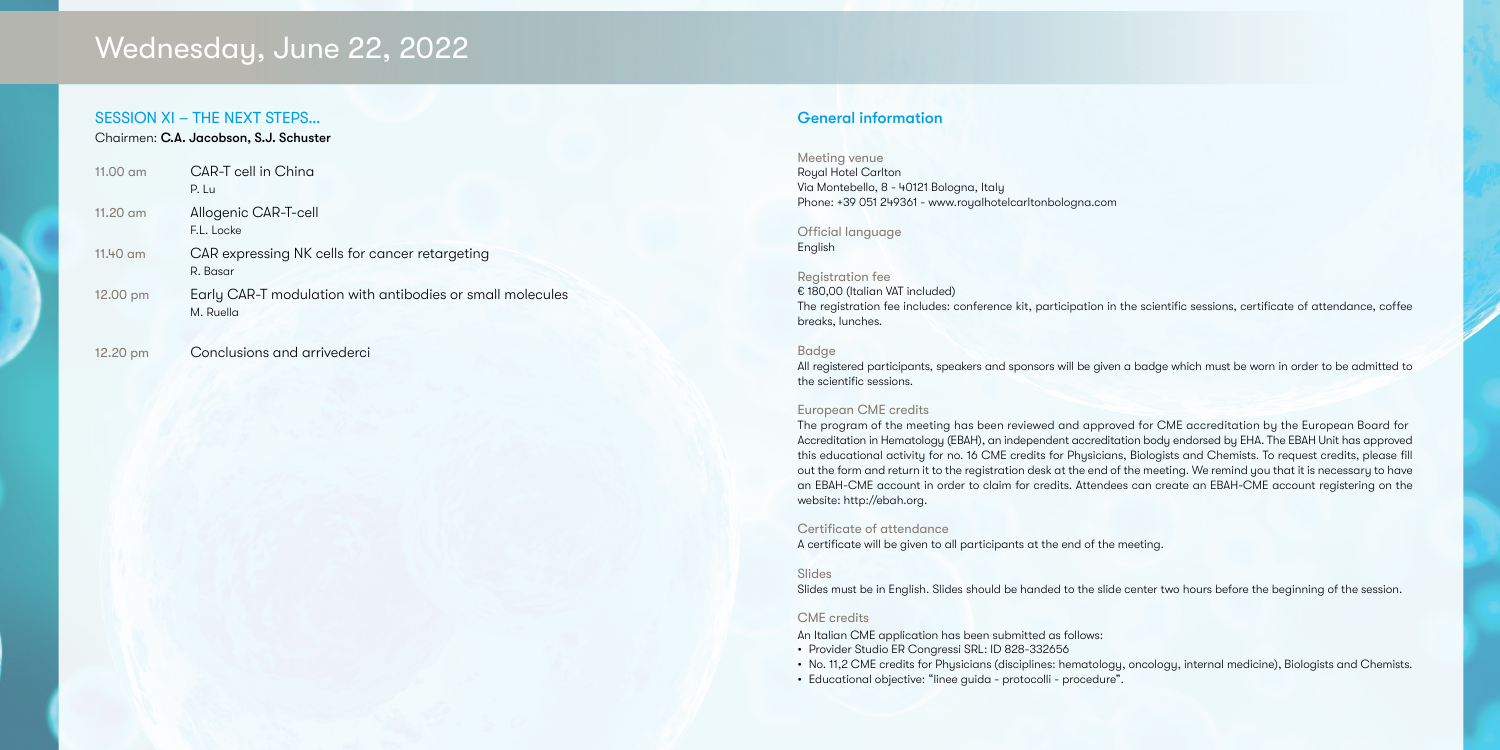### SESSION XI – THE NEXT STEPS… Chairmen: C.A. Jacobson, S.J. Schuster

| $11.00$ am | CAR-T cell in China<br>P. Lu                                           |
|------------|------------------------------------------------------------------------|
| $11.20$ am | Allogenic CAR-T-cell<br>F.L. Locke                                     |
| 11.40 am   | CAR expressing NK cells for cancer retargeting<br>R. Basar             |
| 12.00 pm   | Early CAR-T modulation with antibodies or small molecules<br>M. Ruella |

12.20 pm Conclusions and arrivederci

# Wednesday, June 22, 2022

### Meeting venue Royal Hotel Carlton Via Montebello, 8 - 40121 Bologna, Italy Phone: +39 051 249361 - www.royalhotelcarltonbologna.com

Official language English

### Registration fee € 180,00 (Italian VAT included) The registration fee includes: conference kit, participation in the scientific sessions, certificate of attendance, coffee breaks, lunches.

### Badge

All registered participants, speakers and sponsors will be given a badge which must be worn in order to be admitted to the scientific sessions.

### European CME credits

The program of the meeting has been reviewed and approved for CME accreditation by the European Board for Accreditation in Hematology (EBAH), an independent accreditation body endorsed by EHA. The EBAH Unit has approved this educational activity for no. 16 CME credits for Physicians, Biologists and Chemists. To request credits, please fill out the form and return it to the registration desk at the end of the meeting. We remind you that it is necessary to have an EBAH-CME account in order to claim for credits. Attendees can create an EBAH-CME account registering on the website: http://ebah.org.

### Certificate of attendance

A certificate will be given to all participants at the end of the meeting.

### Slides

Slides must be in English. Slides should be handed to the slide center two hours before the beginning of the session.

### CME credits

An Italian CME application has been submitted as follows:

- Provider Studio ER Congressi SRL: ID 828-332656
- No. 11,2 CME credits for Physicians (disciplines: hematology, oncology, internal medicine), Biologists and Chemists.
- Educational objective: "linee guida protocolli procedure".

### General information